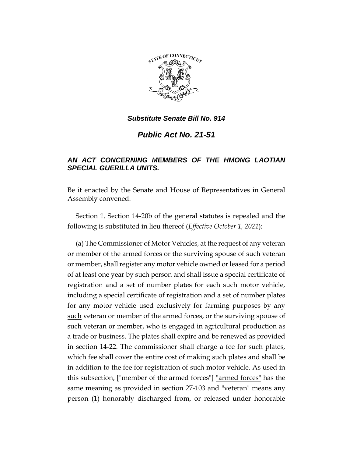

*Public Act No. 21-51*

# *AN ACT CONCERNING MEMBERS OF THE HMONG LAOTIAN SPECIAL GUERILLA UNITS.*

Be it enacted by the Senate and House of Representatives in General Assembly convened:

Section 1. Section 14-20b of the general statutes is repealed and the following is substituted in lieu thereof (*Effective October 1, 2021*):

(a) The Commissioner of Motor Vehicles, at the request of any veteran or member of the armed forces or the surviving spouse of such veteran or member, shall register any motor vehicle owned or leased for a period of at least one year by such person and shall issue a special certificate of registration and a set of number plates for each such motor vehicle, including a special certificate of registration and a set of number plates for any motor vehicle used exclusively for farming purposes by any such veteran or member of the armed forces, or the surviving spouse of such veteran or member, who is engaged in agricultural production as a trade or business. The plates shall expire and be renewed as provided in section 14-22. The commissioner shall charge a fee for such plates, which fee shall cover the entire cost of making such plates and shall be in addition to the fee for registration of such motor vehicle. As used in this subsection, **[**"member of the armed forces"**]** "armed forces" has the same meaning as provided in section 27-103 and "veteran" means any person (1) honorably discharged from, or released under honorable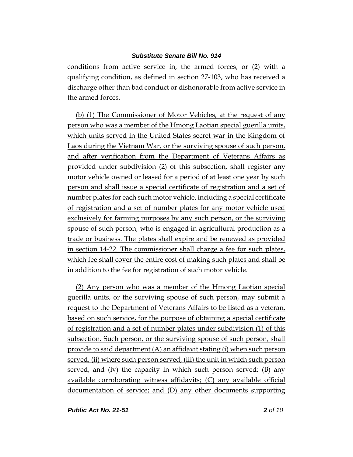conditions from active service in, the armed forces, or (2) with a qualifying condition, as defined in section 27-103, who has received a discharge other than bad conduct or dishonorable from active service in the armed forces.

(b) (1) The Commissioner of Motor Vehicles, at the request of any person who was a member of the Hmong Laotian special guerilla units, which units served in the United States secret war in the Kingdom of Laos during the Vietnam War, or the surviving spouse of such person, and after verification from the Department of Veterans Affairs as provided under subdivision (2) of this subsection, shall register any motor vehicle owned or leased for a period of at least one year by such person and shall issue a special certificate of registration and a set of number plates for each such motor vehicle, including a special certificate of registration and a set of number plates for any motor vehicle used exclusively for farming purposes by any such person, or the surviving spouse of such person, who is engaged in agricultural production as a trade or business. The plates shall expire and be renewed as provided in section 14-22. The commissioner shall charge a fee for such plates, which fee shall cover the entire cost of making such plates and shall be in addition to the fee for registration of such motor vehicle.

(2) Any person who was a member of the Hmong Laotian special guerilla units, or the surviving spouse of such person, may submit a request to the Department of Veterans Affairs to be listed as a veteran, based on such service, for the purpose of obtaining a special certificate of registration and a set of number plates under subdivision (1) of this subsection. Such person, or the surviving spouse of such person, shall provide to said department (A) an affidavit stating (i) when such person served, (ii) where such person served, (iii) the unit in which such person served, and (iv) the capacity in which such person served; (B) any available corroborating witness affidavits; (C) any available official documentation of service; and (D) any other documents supporting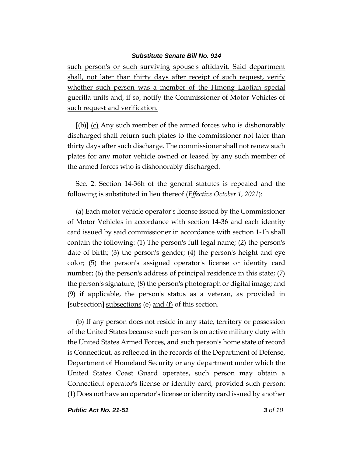such person's or such surviving spouse's affidavit. Said department shall, not later than thirty days after receipt of such request, verify whether such person was a member of the Hmong Laotian special guerilla units and, if so, notify the Commissioner of Motor Vehicles of such request and verification.

**[**(b)**]** (c) Any such member of the armed forces who is dishonorably discharged shall return such plates to the commissioner not later than thirty days after such discharge. The commissioner shall not renew such plates for any motor vehicle owned or leased by any such member of the armed forces who is dishonorably discharged.

Sec. 2. Section 14-36h of the general statutes is repealed and the following is substituted in lieu thereof (*Effective October 1, 2021*):

(a) Each motor vehicle operator's license issued by the Commissioner of Motor Vehicles in accordance with section 14-36 and each identity card issued by said commissioner in accordance with section 1-1h shall contain the following: (1) The person's full legal name; (2) the person's date of birth; (3) the person's gender; (4) the person's height and eye color; (5) the person's assigned operator's license or identity card number; (6) the person's address of principal residence in this state; (7) the person's signature; (8) the person's photograph or digital image; and (9) if applicable, the person's status as a veteran, as provided in **[**subsection**]** subsections (e) and (f) of this section.

(b) If any person does not reside in any state, territory or possession of the United States because such person is on active military duty with the United States Armed Forces, and such person's home state of record is Connecticut, as reflected in the records of the Department of Defense, Department of Homeland Security or any department under which the United States Coast Guard operates, such person may obtain a Connecticut operator's license or identity card, provided such person: (1) Does not have an operator's license or identity card issued by another

*Public Act No. 21-51 3 of 10*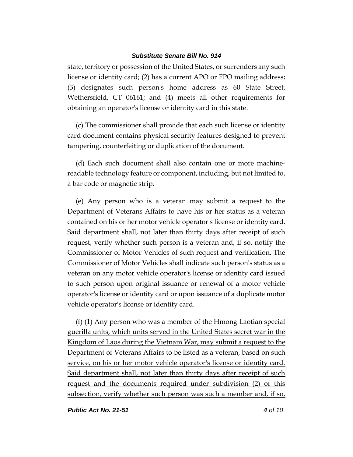state, territory or possession of the United States, or surrenders any such license or identity card; (2) has a current APO or FPO mailing address; (3) designates such person's home address as 60 State Street, Wethersfield, CT 06161; and (4) meets all other requirements for obtaining an operator's license or identity card in this state.

(c) The commissioner shall provide that each such license or identity card document contains physical security features designed to prevent tampering, counterfeiting or duplication of the document.

(d) Each such document shall also contain one or more machinereadable technology feature or component, including, but not limited to, a bar code or magnetic strip.

(e) Any person who is a veteran may submit a request to the Department of Veterans Affairs to have his or her status as a veteran contained on his or her motor vehicle operator's license or identity card. Said department shall, not later than thirty days after receipt of such request, verify whether such person is a veteran and, if so, notify the Commissioner of Motor Vehicles of such request and verification. The Commissioner of Motor Vehicles shall indicate such person's status as a veteran on any motor vehicle operator's license or identity card issued to such person upon original issuance or renewal of a motor vehicle operator's license or identity card or upon issuance of a duplicate motor vehicle operator's license or identity card.

(f) (1) Any person who was a member of the Hmong Laotian special guerilla units, which units served in the United States secret war in the Kingdom of Laos during the Vietnam War, may submit a request to the Department of Veterans Affairs to be listed as a veteran, based on such service, on his or her motor vehicle operator's license or identity card. Said department shall, not later than thirty days after receipt of such request and the documents required under subdivision (2) of this subsection, verify whether such person was such a member and, if so,

*Public Act No. 21-51 4 of 10*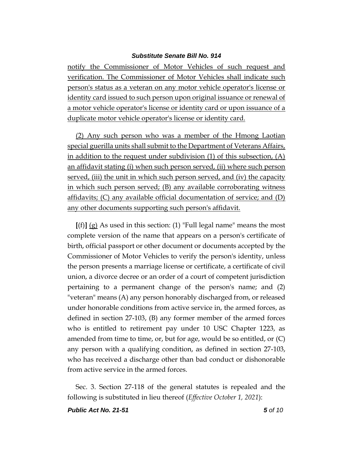notify the Commissioner of Motor Vehicles of such request and verification. The Commissioner of Motor Vehicles shall indicate such person's status as a veteran on any motor vehicle operator's license or identity card issued to such person upon original issuance or renewal of a motor vehicle operator's license or identity card or upon issuance of a duplicate motor vehicle operator's license or identity card.

(2) Any such person who was a member of the Hmong Laotian special guerilla units shall submit to the Department of Veterans Affairs, in addition to the request under subdivision (1) of this subsection, (A) an affidavit stating (i) when such person served, (ii) where such person served, (iii) the unit in which such person served, and (iv) the capacity in which such person served; (B) any available corroborating witness affidavits; (C) any available official documentation of service; and (D) any other documents supporting such person's affidavit.

**[**(f)**]** (g) As used in this section: (1) "Full legal name" means the most complete version of the name that appears on a person's certificate of birth, official passport or other document or documents accepted by the Commissioner of Motor Vehicles to verify the person's identity, unless the person presents a marriage license or certificate, a certificate of civil union, a divorce decree or an order of a court of competent jurisdiction pertaining to a permanent change of the person's name; and (2) "veteran" means (A) any person honorably discharged from, or released under honorable conditions from active service in, the armed forces, as defined in section 27-103, (B) any former member of the armed forces who is entitled to retirement pay under 10 USC Chapter 1223, as amended from time to time, or, but for age, would be so entitled, or (C) any person with a qualifying condition, as defined in section 27-103, who has received a discharge other than bad conduct or dishonorable from active service in the armed forces.

Sec. 3. Section 27-118 of the general statutes is repealed and the following is substituted in lieu thereof (*Effective October 1, 2021*):

*Public Act No. 21-51 5 of 10*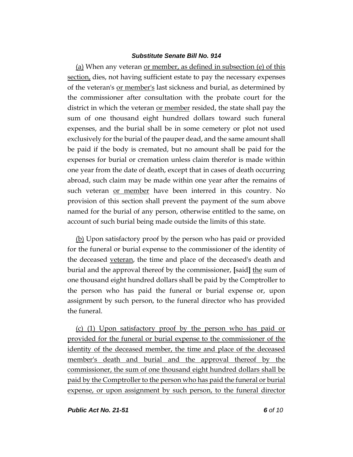(a) When any veteran or member, as defined in subsection (e) of this section, dies, not having sufficient estate to pay the necessary expenses of the veteran's or member's last sickness and burial, as determined by the commissioner after consultation with the probate court for the district in which the veteran or member resided, the state shall pay the sum of one thousand eight hundred dollars toward such funeral expenses, and the burial shall be in some cemetery or plot not used exclusively for the burial of the pauper dead, and the same amount shall be paid if the body is cremated, but no amount shall be paid for the expenses for burial or cremation unless claim therefor is made within one year from the date of death, except that in cases of death occurring abroad, such claim may be made within one year after the remains of such veteran <u>or member</u> have been interred in this country. No provision of this section shall prevent the payment of the sum above named for the burial of any person, otherwise entitled to the same, on account of such burial being made outside the limits of this state.

(b) Upon satisfactory proof by the person who has paid or provided for the funeral or burial expense to the commissioner of the identity of the deceased veteran, the time and place of the deceased's death and burial and the approval thereof by the commissioner, **[**said**]** the sum of one thousand eight hundred dollars shall be paid by the Comptroller to the person who has paid the funeral or burial expense or, upon assignment by such person, to the funeral director who has provided the funeral.

(c) (1) Upon satisfactory proof by the person who has paid or provided for the funeral or burial expense to the commissioner of the identity of the deceased member, the time and place of the deceased member's death and burial and the approval thereof by the commissioner, the sum of one thousand eight hundred dollars shall be paid by the Comptroller to the person who has paid the funeral or burial expense, or upon assignment by such person, to the funeral director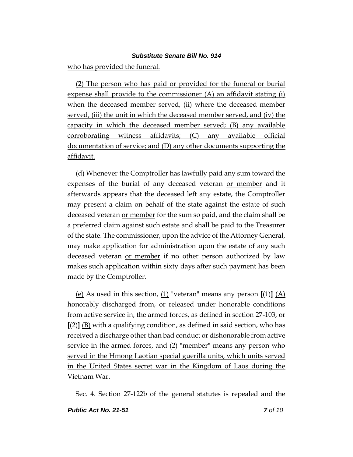who has provided the funeral.

(2) The person who has paid or provided for the funeral or burial expense shall provide to the commissioner (A) an affidavit stating (i) when the deceased member served, (ii) where the deceased member served, (iii) the unit in which the deceased member served, and (iv) the capacity in which the deceased member served; (B) any available corroborating witness affidavits; (C) any available official documentation of service; and (D) any other documents supporting the affidavit.

(d) Whenever the Comptroller has lawfully paid any sum toward the expenses of the burial of any deceased veteran or member and it afterwards appears that the deceased left any estate, the Comptroller may present a claim on behalf of the state against the estate of such deceased veteran <u>or member</u> for the sum so paid, and the claim shall be a preferred claim against such estate and shall be paid to the Treasurer of the state. The commissioner, upon the advice of the Attorney General, may make application for administration upon the estate of any such deceased veteran <u>or member</u> if no other person authorized by law makes such application within sixty days after such payment has been made by the Comptroller.

(e) As used in this section,  $(1)$  "veteran" means any person  $[(1)]$   $(A)$ honorably discharged from, or released under honorable conditions from active service in, the armed forces, as defined in section 27-103, or **[**(2)**]** (B) with a qualifying condition, as defined in said section, who has received a discharge other than bad conduct or dishonorable from active service in the armed forces, and (2) "member" means any person who served in the Hmong Laotian special guerilla units, which units served in the United States secret war in the Kingdom of Laos during the Vietnam War.

Sec. 4. Section 27-122b of the general statutes is repealed and the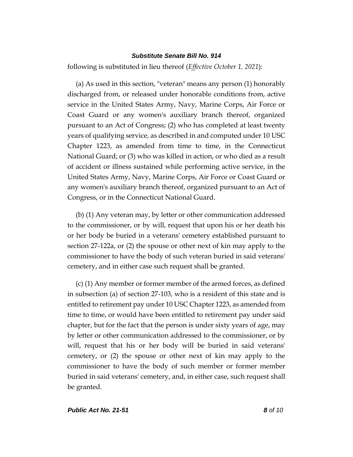following is substituted in lieu thereof (*Effective October 1, 2021*):

(a) As used in this section, "veteran" means any person (1) honorably discharged from, or released under honorable conditions from, active service in the United States Army, Navy, Marine Corps, Air Force or Coast Guard or any women's auxiliary branch thereof, organized pursuant to an Act of Congress; (2) who has completed at least twenty years of qualifying service, as described in and computed under 10 USC Chapter 1223, as amended from time to time, in the Connecticut National Guard; or (3) who was killed in action, or who died as a result of accident or illness sustained while performing active service, in the United States Army, Navy, Marine Corps, Air Force or Coast Guard or any women's auxiliary branch thereof, organized pursuant to an Act of Congress, or in the Connecticut National Guard.

(b) (1) Any veteran may, by letter or other communication addressed to the commissioner, or by will, request that upon his or her death his or her body be buried in a veterans' cemetery established pursuant to section 27-122a, or (2) the spouse or other next of kin may apply to the commissioner to have the body of such veteran buried in said veterans' cemetery, and in either case such request shall be granted.

(c) (1) Any member or former member of the armed forces, as defined in subsection (a) of section 27-103, who is a resident of this state and is entitled to retirement pay under 10 USC Chapter 1223, as amended from time to time, or would have been entitled to retirement pay under said chapter, but for the fact that the person is under sixty years of age, may by letter or other communication addressed to the commissioner, or by will, request that his or her body will be buried in said veterans' cemetery, or (2) the spouse or other next of kin may apply to the commissioner to have the body of such member or former member buried in said veterans' cemetery, and, in either case, such request shall be granted.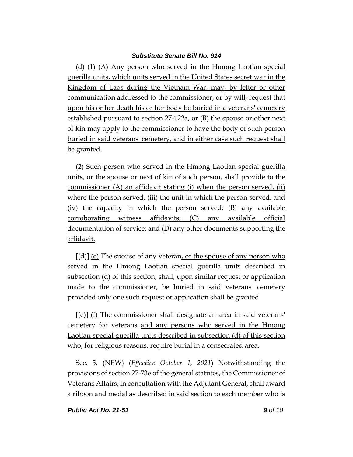(d) (1) (A) Any person who served in the Hmong Laotian special guerilla units, which units served in the United States secret war in the Kingdom of Laos during the Vietnam War, may, by letter or other communication addressed to the commissioner, or by will, request that upon his or her death his or her body be buried in a veterans' cemetery established pursuant to section 27-122a, or (B) the spouse or other next of kin may apply to the commissioner to have the body of such person buried in said veterans' cemetery, and in either case such request shall be granted.

(2) Such person who served in the Hmong Laotian special guerilla units, or the spouse or next of kin of such person, shall provide to the commissioner (A) an affidavit stating (i) when the person served, (ii) where the person served, (iii) the unit in which the person served, and (iv) the capacity in which the person served; (B) any available corroborating witness affidavits; (C) any available official documentation of service; and (D) any other documents supporting the affidavit.

**[**(d)**]** (e) The spouse of any veteran, or the spouse of any person who served in the Hmong Laotian special guerilla units described in subsection (d) of this section, shall, upon similar request or application made to the commissioner, be buried in said veterans' cemetery provided only one such request or application shall be granted.

**[**(e)**]** (f) The commissioner shall designate an area in said veterans' cemetery for veterans and any persons who served in the Hmong Laotian special guerilla units described in subsection (d) of this section who, for religious reasons, require burial in a consecrated area.

Sec. 5. (NEW) (*Effective October 1, 2021*) Notwithstanding the provisions of section 27-73e of the general statutes, the Commissioner of Veterans Affairs, in consultation with the Adjutant General, shall award a ribbon and medal as described in said section to each member who is